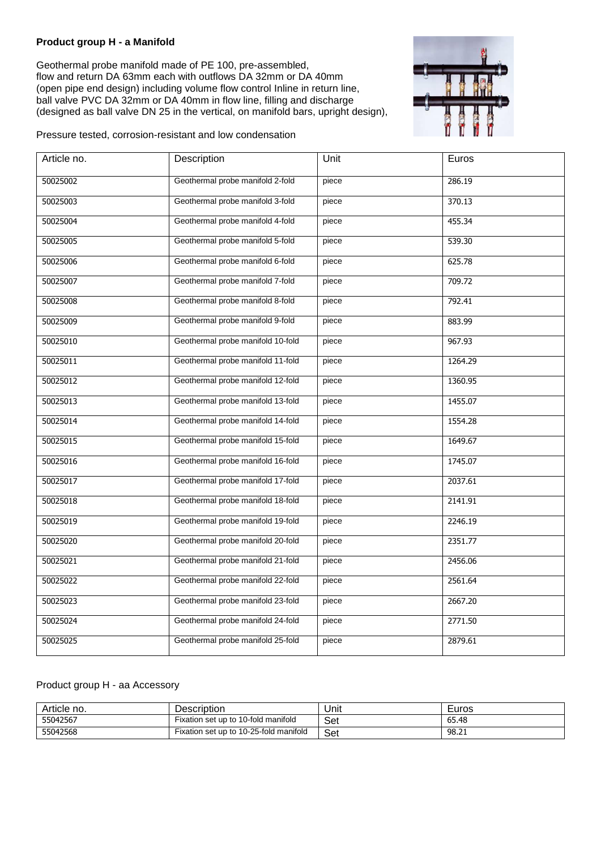## **Product group H - a Manifold**

Geothermal probe manifold made of PE 100, pre-assembled, flow and return DA 63mm each with outflows DA 32mm or DA 40mm (open pipe end design) including volume flow control Inline in return line, ball valve PVC DA 32mm or DA 40mm in flow line, filling and discharge (designed as ball valve DN 25 in the vertical, on manifold bars, upright design),



Pressure tested, corrosion-resistant and low condensation

| Article no. | Description                       | Unit  | Euros   |
|-------------|-----------------------------------|-------|---------|
| 50025002    | Geothermal probe manifold 2-fold  | piece | 286.19  |
| 50025003    | Geothermal probe manifold 3-fold  | piece | 370.13  |
| 50025004    | Geothermal probe manifold 4-fold  | piece | 455.34  |
| 50025005    | Geothermal probe manifold 5-fold  | piece | 539.30  |
| 50025006    | Geothermal probe manifold 6-fold  | piece | 625.78  |
| 50025007    | Geothermal probe manifold 7-fold  | piece | 709.72  |
| 50025008    | Geothermal probe manifold 8-fold  | piece | 792.41  |
| 50025009    | Geothermal probe manifold 9-fold  | piece | 883.99  |
| 50025010    | Geothermal probe manifold 10-fold | piece | 967.93  |
| 50025011    | Geothermal probe manifold 11-fold | piece | 1264.29 |
| 50025012    | Geothermal probe manifold 12-fold | piece | 1360.95 |
| 50025013    | Geothermal probe manifold 13-fold | piece | 1455.07 |
| 50025014    | Geothermal probe manifold 14-fold | piece | 1554.28 |
| 50025015    | Geothermal probe manifold 15-fold | piece | 1649.67 |
| 50025016    | Geothermal probe manifold 16-fold | piece | 1745.07 |
| 50025017    | Geothermal probe manifold 17-fold | piece | 2037.61 |
| 50025018    | Geothermal probe manifold 18-fold | piece | 2141.91 |
| 50025019    | Geothermal probe manifold 19-fold | piece | 2246.19 |
| 50025020    | Geothermal probe manifold 20-fold | piece | 2351.77 |
| 50025021    | Geothermal probe manifold 21-fold | piece | 2456.06 |
| 50025022    | Geothermal probe manifold 22-fold | piece | 2561.64 |
| 50025023    | Geothermal probe manifold 23-fold | piece | 2667.20 |
| 50025024    | Geothermal probe manifold 24-fold | piece | 2771.50 |
| 50025025    | Geothermal probe manifold 25-fold | piece | 2879.61 |

## Product group H - aa Accessory

| Article no. | Description                            | Unit | Euros |
|-------------|----------------------------------------|------|-------|
| 55042567    | Fixation set up to 10-fold manifold    | Set  | 65.48 |
| 55042568    | Fixation set up to 10-25-fold manifold | Set  | 98.21 |